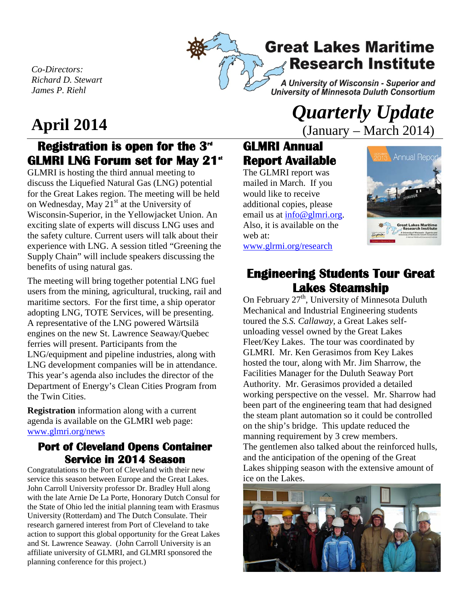

**Great Lakes Maritime Research Institute** 

A University of Wisconsin - Superior and University of Minnesota Duluth Consortium

*Co-Directors: Richard D. Stewart James P. Riehl*

## **Registration is open for the 3<sup>d</sup>** GLMRI LNG Forum set for May 21<sup>st</sup>

GLMRI is hosting the third annual meeting to discuss the Liquefied Natural Gas (LNG) potential for the Great Lakes region. The meeting will be held on Wednesday, May  $21<sup>st</sup>$  at the University of Wisconsin-Superior, in the Yellowjacket Union. An exciting slate of experts will discuss LNG uses and the safety culture. Current users will talk about their experience with LNG. A session titled "Greening the Supply Chain" will include speakers discussing the benefits of using natural gas.

The meeting will bring together potential LNG fuel users from the mining, agricultural, trucking, rail and maritime sectors. For the first time, a ship operator adopting LNG, TOTE Services, will be presenting. A representative of the LNG powered Wärtsilä engines on the new St. Lawrence Seaway/Quebec ferries will present. Participants from the LNG/equipment and pipeline industries, along with LNG development companies will be in attendance. This year's agenda also includes the director of the Department of Energy's Clean Cities Program from the Twin Cities.

**Registration** information along with a current agenda is available on the GLMRI web page: [www.glmri.org/news](http://www.glmri.org/news)

## **Port of Cleveland Opens Container Service in 2014 Season**

Congratulations to the Port of Cleveland with their new service this season between Europe and the Great Lakes. John Carroll University professor Dr. Bradley Hull along with the late Arnie De La Porte, Honorary Dutch Consul for the State of Ohio led the initial planning team with Erasmus University (Rotterdam) and The Dutch Consulate. Their research garnered interest from Port of Cleveland to take action to support this global opportunity for the Great Lakes and St. Lawrence Seaway. (John Carroll University is an affiliate university of GLMRI, and GLMRI sponsored the planning conference for this project.)

# **April 2014** *Quarterly Update* **<b>***Quarterly Update (January – March 2014)* (January – March 2014)

## **GLMRI Annual Report Available**

The GLMRI report was mailed in March. If you would like to receive additional copies, please email us at [info@glmri.org.](mailto:info@glmri.org) Also, it is available on the web at: [www.glrmi.org/research](http://www.glrmi.org/research)



# **Engineering Students Tour Great Lakes Steamship**<br>On February 27<sup>th</sup>, University of Minnesota Duluth

Mechanical and Industrial Engineering students toured the *S.S. Callaway,* a Great Lakes selfunloading vessel owned by the Great Lakes Fleet/Key Lakes. The tour was coordinated by GLMRI. Mr. Ken Gerasimos from Key Lakes hosted the tour, along with Mr. Jim Sharrow, the Facilities Manager for the Duluth Seaway Port Authority. Mr. Gerasimos provided a detailed working perspective on the vessel. Mr. Sharrow had been part of the engineering team that had designed the steam plant automation so it could be controlled on the ship's bridge. This update reduced the manning requirement by 3 crew members. The gentlemen also talked about the reinforced hulls, and the anticipation of the opening of the Great Lakes shipping season with the extensive amount of ice on the Lakes.